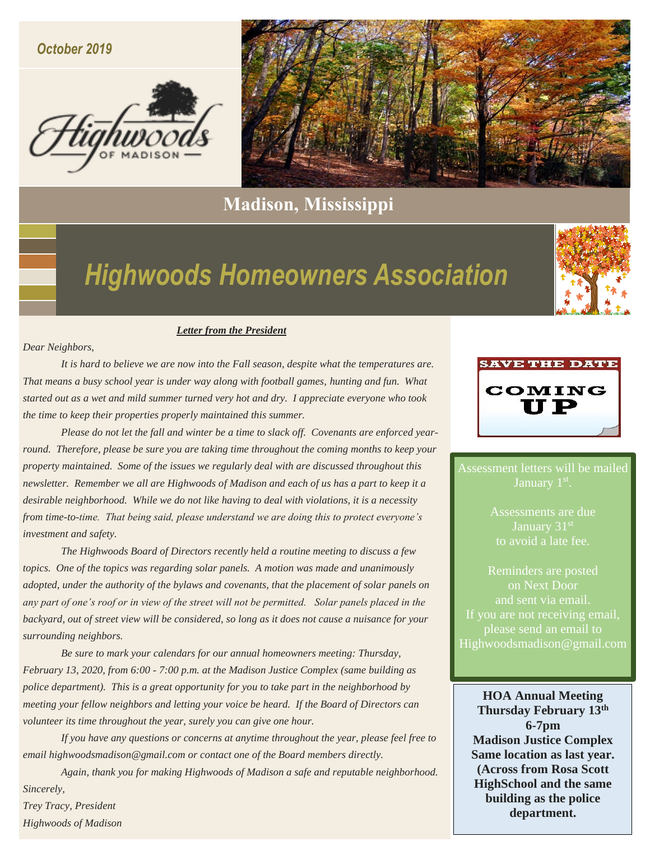#### *October 2019*





### **Madison, Mississippi**

## *Highwoods Homeowners Association*



#### *Letter from the President*

#### *Dear Neighbors,*

*Highwoods of Madison*

*It is hard to believe we are now into the Fall season, despite what the temperatures are. That means a busy school year is under way along with football games, hunting and fun. What started out as a wet and mild summer turned very hot and dry. I appreciate everyone who took the time to keep their properties properly maintained this summer.* 

*Please do not let the fall and winter be a time to slack off. Covenants are enforced yearround. Therefore, please be sure you are taking time throughout the coming months to keep your property maintained. Some of the issues we regularly deal with are discussed throughout this newsletter. Remember we all are Highwoods of Madison and each of us has a part to keep it a desirable neighborhood. While we do not like having to deal with violations, it is a necessity from time-to-time. That being said, please understand we are doing this to protect everyone's investment and safety.* 

*The Highwoods Board of Directors recently held a routine meeting to discuss a few topics. One of the topics was regarding solar panels. A motion was made and unanimously adopted, under the authority of the bylaws and covenants, that the placement of solar panels on any part of one's roof or in view of the street will not be permitted. Solar panels placed in the backyard, out of street view will be considered, so long as it does not cause a nuisance for your surrounding neighbors.* 

*Be sure to mark your calendars for our annual homeowners meeting: Thursday, February 13, 2020, from 6:00 - 7:00 p.m. at the Madison Justice Complex (same building as police department). This is a great opportunity for you to take part in the neighborhood by meeting your fellow neighbors and letting your voice be heard. If the Board of Directors can volunteer its time throughout the year, surely you can give one hour.* 

*If you have any questions or concerns at anytime throughout the year, please feel free to email highwoodsmadison@gmail.com or contact one of the Board members directly.*

*Again, thank you for making Highwoods of Madison a safe and reputable neighborhood. Sincerely, Trey Tracy, President*



Assessment letters will be mailed

Assessments are due January 31st to avoid a late fee.

on Next Door and sent via email. If you are not receiving email, Highwoodsmadison@gmail.com

**HOA Annual Meeting Thursday February 13th 6-7pm Madison Justice Complex Same location as last year. (Across from Rosa Scott HighSchool and the same building as the police department.**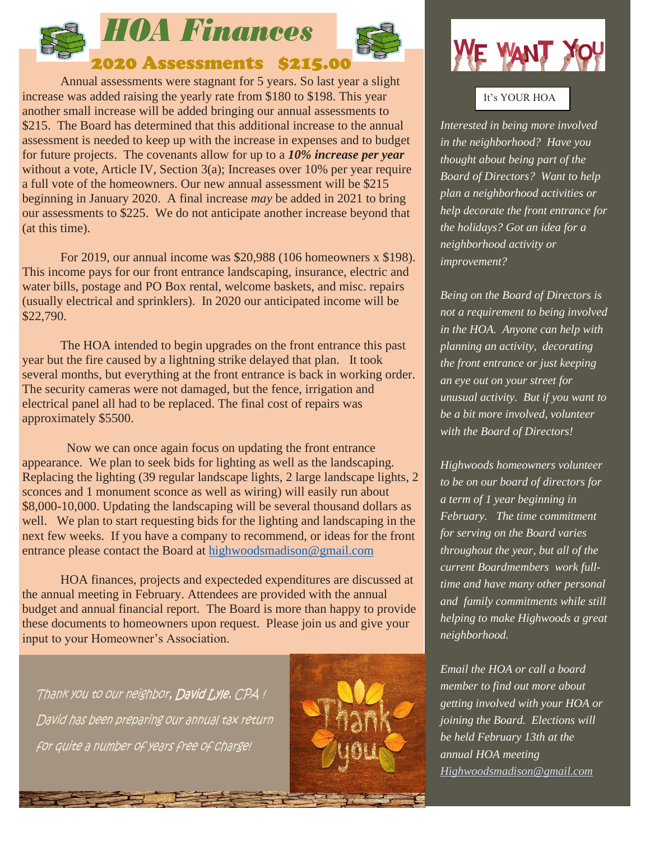



Annual assessments were stagnant for 5 years. So last year a slight increase was added raising the yearly rate from \$180 to \$198. This year another small increase will be added bringing our annual assessments to \$215. The Board has determined that this additional increase to the annual assessment is needed to keep up with the increase in expenses and to budget for future projects. The covenants allow for up to a *10% increase per year* without a vote, Article IV, Section 3(a); Increases over 10% per year require a full vote of the homeowners. Our new annual assessment will be \$215 beginning in January 2020. A final increase *may* be added in 2021 to bring our assessments to \$225. We do not anticipate another increase beyond that (at this time).

For 2019, our annual income was \$20,988 (106 homeowners x \$198). This income pays for our front entrance landscaping, insurance, electric and water bills, postage and PO Box rental, welcome baskets, and misc. repairs (usually electrical and sprinklers). In 2020 our anticipated income will be \$22,790.

The HOA intended to begin upgrades on the front entrance this past year but the fire caused by a lightning strike delayed that plan. It took several months, but everything at the front entrance is back in working order. The security cameras were not damaged, but the fence, irrigation and electrical panel all had to be replaced. The final cost of repairs was approximately \$5500.

 Now we can once again focus on updating the front entrance appearance. We plan to seek bids for lighting as well as the landscaping. Replacing the lighting (39 regular landscape lights, 2 large landscape lights, 2 sconces and 1 monument sconce as well as wiring) will easily run about \$8,000-10,000. Updating the landscaping will be several thousand dollars as well. We plan to start requesting bids for the lighting and landscaping in the next few weeks. If you have a company to recommend, or ideas for the front entrance please contact the Board at [highwoodsmadison@gmail.com](mailto:highwoodsmadison@gmail.com)

HOA finances, projects and expecteded expenditures are discussed at the annual meeting in February. Attendees are provided with the annual budget and annual financial report. The Board is more than happy to provide these documents to homeowners upon request. Please join us and give your input to your Homeowner's Association.

Thank you to our neighbor, David Lyle, CPA! David has been preparing our annual tax return for quite a number of years free of charge!





#### It's YOUR HOA

*Interested in being more involved in the neighborhood? Have you thought about being part of the Board of Directors? Want to help plan a neighborhood activities or help decorate the front entrance for the holidays? Got an idea for a neighborhood activity or improvement?*

*Being on the Board of Directors is not a requirement to being involved in the HOA. Anyone can help with planning an activity, decorating the front entrance or just keeping an eye out on your street for unusual activity. But if you want to be a bit more involved, volunteer with the Board of Directors!*

*Highwoods homeowners volunteer to be on our board of directors for a term of 1 year beginning in February. The time commitment for serving on the Board varies throughout the year, but all of the current Boardmembers work fulltime and have many other personal and family commitments while still helping to make Highwoods a great neighborhood.* 

*Email the HOA or call a board member to find out more about getting involved with your HOA or joining the Board. Elections will be held February 13th at the annual HOA meeting Highwoodsmadison@gmail.com*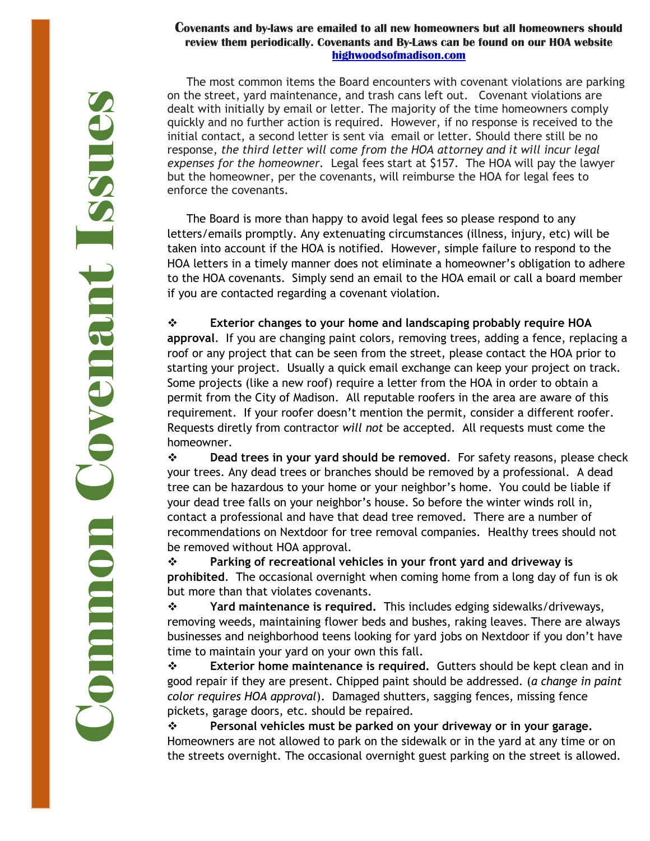#### **Covenants and by-laws are emailed to all new homeowners but all homeowners should review them periodically. Covenants and By-Laws can be found on our HOA website highwoodsofmadison.com**

The most common items the Board encounters with covenant violations are parking on the street, yard maintenance, and trash cans left out. Covenant violations are dealt with initially by email or letter. The majority of the time homeowners comply quickly and no further action is required. However, if no response is received to the initial contact, a second letter is sent via email or letter. Should there still be no response, *the third letter will come from the HOA attorney and it will incur legal expenses for the homeowner.* Legal fees start at \$157. The HOA will pay the lawyer but the homeowner, per the covenants, will reimburse the HOA for legal fees to enforce the covenants.

The Board is more than happy to avoid legal fees so please respond to any letters/emails promptly. Any extenuating circumstances (illness, injury, etc) will be taken into account if the HOA is notified. However, simple failure to respond to the HOA letters in a timely manner does not eliminate a homeowner's obligation to adhere to the HOA covenants. Simply send an email to the HOA email or call a board member if you are contacted regarding a covenant violation.

❖ **Exterior changes to your home and landscaping probably require HOA approval**. If you are changing paint colors, removing trees, adding a fence, replacing a roof or any project that can be seen from the street, please contact the HOA prior to starting your project. Usually a quick email exchange can keep your project on track. Some projects (like a new roof) require a letter from the HOA in order to obtain a permit from the City of Madison. All reputable roofers in the area are aware of this requirement. If your roofer doesn't mention the permit, consider a different roofer. Requests diretly from contractor *will not* be accepted. All requests must come the homeowner.

❖ **Dead trees in your yard should be removed**. For safety reasons, please check your trees. Any dead trees or branches should be removed by a professional. A dead tree can be hazardous to your home or your neighbor's home. You could be liable if your dead tree falls on your neighbor's house. So before the winter winds roll in, contact a professional and have that dead tree removed. There are a number of recommendations on Nextdoor for tree removal companies. Healthy trees should not be removed without HOA approval.

❖ **Parking of recreational vehicles in your front yard and driveway is prohibited**. The occasional overnight when coming home from a long day of fun is ok but more than that violates covenants.

❖ **Yard maintenance is required.** This includes edging sidewalks/driveways, removing weeds, maintaining flower beds and bushes, raking leaves. There are always businesses and neighborhood teens looking for yard jobs on Nextdoor if you don't have time to maintain your yard on your own this fall.

❖ **Exterior home maintenance is required.** Gutters should be kept clean and in good repair if they are present. Chipped paint should be addressed. (*a change in paint color requires HOA approval*). Damaged shutters, sagging fences, missing fence pickets, garage doors, etc. should be repaired.

❖ **Personal vehicles must be parked on your driveway or in your garage.**  Homeowners are not allowed to park on the sidewalk or in the yard at any time or on the streets overnight. The occasional overnight guest parking on the street is allowed.